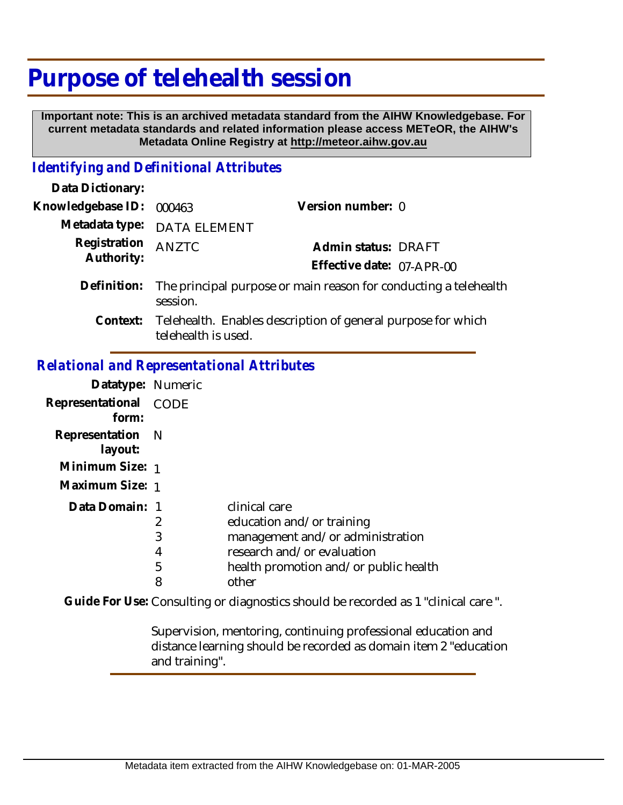# **Purpose of telehealth session**

 **Important note: This is an archived metadata standard from the AIHW Knowledgebase. For current metadata standards and related information please access METeOR, the AIHW's Metadata Online Registry at http://meteor.aihw.gov.au**

## *Identifying and Definitional Attributes*

| Data Dictionary:           |                                                                                              |                           |  |
|----------------------------|----------------------------------------------------------------------------------------------|---------------------------|--|
| Knowledgebase ID:          | 000463                                                                                       | Version number: 0         |  |
| Metadata type:             | DATA ELEMENT                                                                                 |                           |  |
| Registration<br>Authority: | <b>ANZTC</b>                                                                                 | Admin status: DRAFT       |  |
|                            |                                                                                              | Effective date: 07-APR-00 |  |
| Definition:                | The principal purpose or main reason for conducting a telehealth<br>session.                 |                           |  |
|                            | Context: Telehealth. Enables description of general purpose for which<br>telehealth is used. |                           |  |
|                            | Relational and Representational Attributes                                                   |                           |  |

#### **Datatype:** Numeric **Representational** CODE  **form: Representation** N  **layout: Minimum Size:** 1 **Maximum Size:** 1 Data Domain: 1 2 3 4 5 8 clinical care education and/or training management and/or administration research and/or evaluation health promotion and/or public health other

Guide For Use: Consulting or diagnostics should be recorded as 1 "clinical care ".

Supervision, mentoring, continuing professional education and distance learning should be recorded as domain item 2 "education and training".